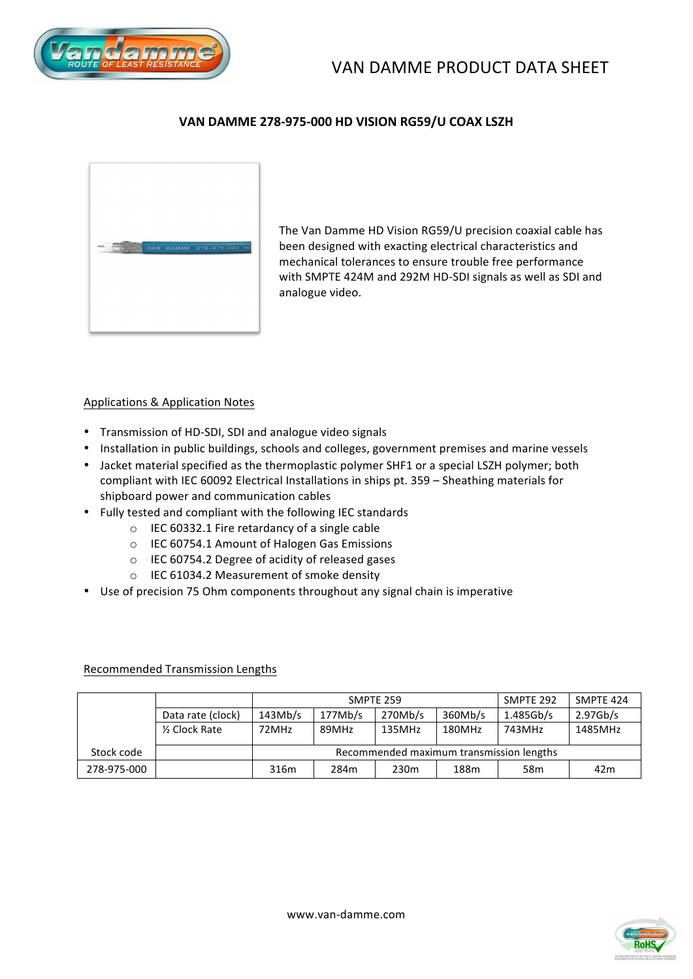



## VAN DAMME 278-975-000 HD VISION RG59/U COAX LSZH



The Van Damme HD Vision RG59/U precision coaxial cable has been designed with exacting electrical characteristics and mechanical tolerances to ensure trouble free performance with SMPTE 424M and 292M HD-SDI signals as well as SDI and analogue video.

### Applications & Application Notes

- Transmission of HD-SDI, SDI and analogue video signals
- Installation in public buildings, schools and colleges, government premises and marine vessels
- Jacket material specified as the thermoplastic polymer SHF1 or a special LSZH polymer; both compliant with IEC 60092 Electrical Installations in ships pt. 359 – Sheathing materials for shipboard power and communication cables
- Fully tested and compliant with the following IEC standards
	- $\circ$  IEC 60332.1 Fire retardancy of a single cable
	- $\circ$  IEC 60754.1 Amount of Halogen Gas Emissions
	- $\circ$  IEC 60754.2 Degree of acidity of released gases
	- o IEC 61034.2 Measurement of smoke density
- Use of precision 75 Ohm components throughout any signal chain is imperative

#### Recommended Transmission Lengths

|             |                   |                                          | SMPTE 259 | SMPTE 292        | SMPTE 424 |                 |          |
|-------------|-------------------|------------------------------------------|-----------|------------------|-----------|-----------------|----------|
|             | Data rate (clock) | 143Mb/s                                  | 177Mb/s   | 270Mb/s          | 360Mb/s   | 1.485Gb/s       | 2.97Gb/s |
|             | 1/2 Clock Rate    | 72MHz                                    | 89MHz     | 135MHz           | 180MHz    | 743MHz          | 1485MHz  |
| Stock code  |                   | Recommended maximum transmission lengths |           |                  |           |                 |          |
| 278-975-000 |                   | 316m                                     | 284m      | 230 <sub>m</sub> | 188m      | 58 <sub>m</sub> | 42m      |